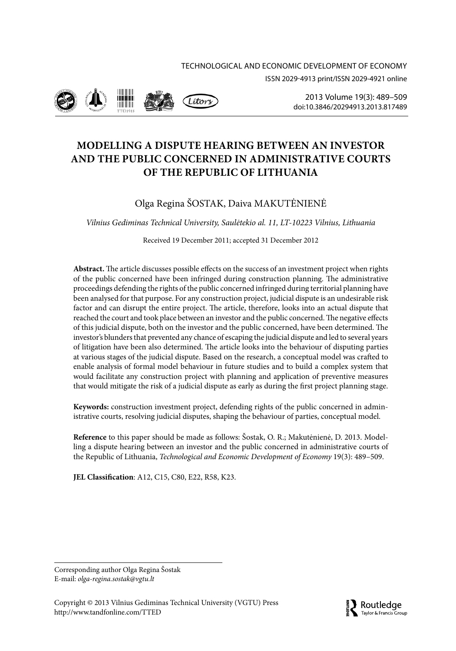#### Technological and economic development OF ECONOMY ISSN 2029-4913 print/ISSN 2029-4921 online



2013 Volume 19(3): 489–509 [doi:10.3846/20294913.2013.817489](http://dx.doi.org/10.3846/20294913.2013.817489)

# **MODELLING A DISPUTE HEARING BETWEEN AN INVESTOR AND THE PUBLIC CONCERNED IN ADMINISTRATIVE COURTS OF THE REPUBLIC OF LITHUANIA**

## Olga Regina ŠOSTAK, Daiva MAKUTĖNIENĖ

*Vilnius Gediminas Technical University, Saulėtekio al. 11, LT-10223 Vilnius, Lithuania*

Received 19 December 2011; accepted 31 December 2012

**Abstract.** The article discusses possible effects on the success of an investment project when rights of the public concerned have been infringed during construction planning. The administrative proceedings defending the rights of the public concerned infringed during territorial planning have been analysed for that purpose. For any construction project, judicial dispute is an undesirable risk factor and can disrupt the entire project. The article, therefore, looks into an actual dispute that reached the court and took place between an investor and the public concerned. The negative effects of this judicial dispute, both on the investor and the public concerned, have been determined. The investor's blunders that prevented any chance of escaping the judicial dispute and led to several years of litigation have been also determined. The article looks into the behaviour of disputing parties at various stages of the judicial dispute. Based on the research, a conceptual model was crafted to enable analysis of formal model behaviour in future studies and to build a complex system that would facilitate any construction project with planning and application of preventive measures that would mitigate the risk of a judicial dispute as early as during the first project planning stage.

**Keywords:** construction investment project, defending rights of the public concerned in administrative courts, resolving judicial disputes, shaping the behaviour of parties, conceptual model.

**Reference** to this paper should be made as follows: Šostak, O. R.; Makutėnienė, D. 2013. Modelling a dispute hearing between an investor and the public concerned in administrative courts of the Republic of Lithuania, *Technological and Economic Development of Economy* 19(3): 489–509.

**JEL Classification**: A12, C15, C80, E22, R58, K23.

Corresponding author Olga Regina Šostak E-mail: *olga-regina.sostak@vgtu.lt*

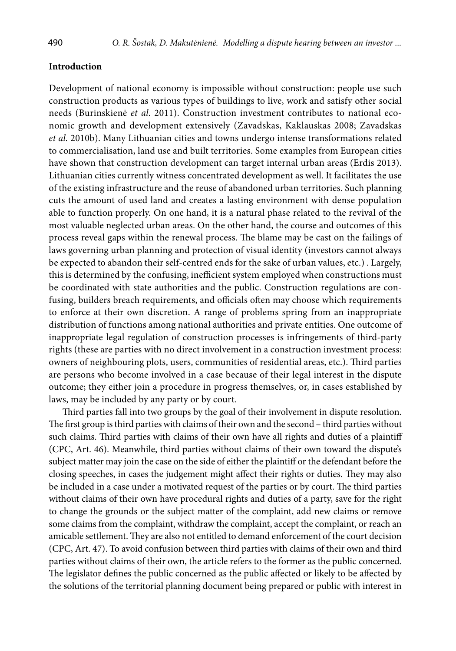## **Introduction**

Development of national economy is impossible without construction: people use such construction products as various types of buildings to live, work and satisfy other social needs (Burinskienė *et al.* 2011). Construction investment contributes to national economic growth and development extensively (Zavadskas, Kaklauskas 2008; Zavadskas *et al.* 2010b). Many Lithuanian cities and towns undergo intense transformations related to commercialisation, land use and built territories. Some examples from European cities have shown that construction development can target internal urban areas (Erdis 2013). Lithuanian cities currently witness concentrated development as well. It facilitates the use of the existing infrastructure and the reuse of abandoned urban territories. Such planning cuts the amount of used land and creates a lasting environment with dense population able to function properly. On one hand, it is a natural phase related to the revival of the most valuable neglected urban areas. On the other hand, the course and outcomes of this process reveal gaps within the renewal process. The blame may be cast on the failings of laws governing urban planning and protection of visual identity (investors cannot always be expected to abandon their self-centred ends for the sake of urban values, etc.) . Largely, this is determined by the confusing, inefficient system employed when constructions must be coordinated with state authorities and the public. Construction regulations are confusing, builders breach requirements, and officials often may choose which requirements to enforce at their own discretion. A range of problems spring from an inappropriate distribution of functions among national authorities and private entities. One outcome of inappropriate legal regulation of construction processes is infringements of third-party rights (these are parties with no direct involvement in a construction investment process: owners of neighbouring plots, users, communities of residential areas, etc.). Third parties are persons who become involved in a case because of their legal interest in the dispute outcome; they either join a procedure in progress themselves, or, in cases established by laws, may be included by any party or by court.

Third parties fall into two groups by the goal of their involvement in dispute resolution. The first group is third parties with claims of their own and the second – third parties without such claims. Third parties with claims of their own have all rights and duties of a plaintiff (CPC, Art. 46). Meanwhile, third parties without claims of their own toward the dispute's subject matter may join the case on the side of either the plaintiff or the defendant before the closing speeches, in cases the judgement might affect their rights or duties. They may also be included in a case under a motivated request of the parties or by court. The third parties without claims of their own have procedural rights and duties of a party, save for the right to change the grounds or the subject matter of the complaint, add new claims or remove some claims from the complaint, withdraw the complaint, accept the complaint, or reach an amicable settlement. They are also not entitled to demand enforcement of the court decision (CPC, Art. 47). To avoid confusion between third parties with claims of their own and third parties without claims of their own, the article refers to the former as the public concerned. The legislator defines the public concerned as the public affected or likely to be affected by the solutions of the territorial planning document being prepared or public with interest in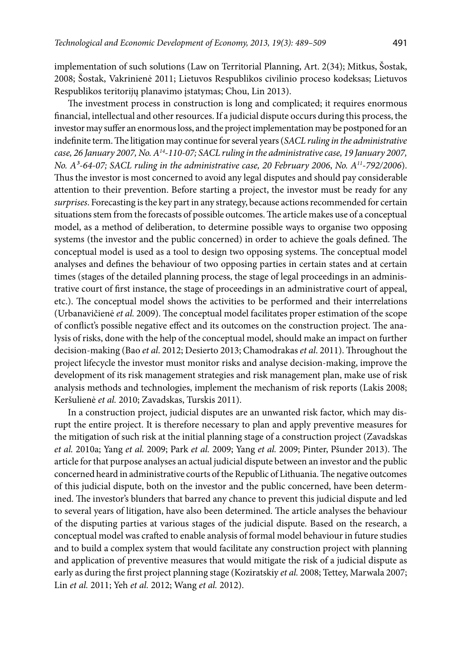implementation of such solutions (Law on Territorial Planning, Art. 2(34); Mitkus, Šostak, 2008; Šostak, Vakrinienė 2011; Lietuvos Respublikos civilinio proceso kodeksas; Lietuvos Respublikos teritorijų planavimo įstatymas; Chou, Lin 2013).

The investment process in construction is long and complicated; it requires enormous financial, intellectual and other resources. If a judicial dispute occurs during this process, the investor may suffer an enormous loss, and the project implementation may be postponed for an indefinite term. The litigation may continue for several years (*SACL ruling in the administrative case, 26 January 2007, No. A14-110-07; SACL ruling in the administrative case, 19 January 2007, No. A³-64-07; SACL ruling in the administrative case, 20 February 2006*, *No. A11-792/2006*). Thus the investor is most concerned to avoid any legal disputes and should pay considerable attention to their prevention. Before starting a project, the investor must be ready for any *surprises*. Forecasting is the key part in any strategy, because actions recommended for certain situations stem from the forecasts of possible outcomes. The article makes use of a conceptual model, as a method of deliberation, to determine possible ways to organise two opposing systems (the investor and the public concerned) in order to achieve the goals defined. The conceptual model is used as a tool to design two opposing systems. The conceptual model analyses and defines the behaviour of two opposing parties in certain states and at certain times (stages of the detailed planning process, the stage of legal proceedings in an administrative court of first instance, the stage of proceedings in an administrative court of appeal, etc.). The conceptual model shows the activities to be performed and their interrelations (Urbanavičienė *et al.* 2009). The conceptual model facilitates proper estimation of the scope of conflict's possible negative effect and its outcomes on the construction project. The analysis of risks, done with the help of the conceptual model, should make an impact on further decision-making (Bao *et al*. 2012; Desierto 2013; Chamodrakas *et al*. 2011). Throughout the project lifecycle the investor must monitor risks and analyse decision-making, improve the development of its risk management strategies and risk management plan, make use of risk analysis methods and technologies, implement the mechanism of risk reports (Lakis 2008; Keršulienė *et al.* 2010; Zavadskas, Turskis 2011).

In a construction project, judicial disputes are an unwanted risk factor, which may disrupt the entire project. It is therefore necessary to plan and apply preventive measures for the mitigation of such risk at the initial planning stage of a construction project (Zavadskas *et al.* 2010a; Yang *et al.* 2009; Park *et al.* 2009; Yang *et al.* 2009; Pinter, Pšunder 2013). The article for that purpose analyses an actual judicial dispute between an investor and the public concerned heard in administrative courts of the Republic of Lithuania. The negative outcomes of this judicial dispute, both on the investor and the public concerned, have been determined. The investor's blunders that barred any chance to prevent this judicial dispute and led to several years of litigation, have also been determined. The article analyses the behaviour of the disputing parties at various stages of the judicial dispute. Based on the research, a conceptual model was crafted to enable analysis of formal model behaviour in future studies and to build a complex system that would facilitate any construction project with planning and application of preventive measures that would mitigate the risk of a judicial dispute as early as during the first project planning stage (Koziratskiy *et al.* 2008; Tettey, Marwala 2007; Lin *et al.* 2011; Yeh *et al.* 2012; Wang *et al.* 2012).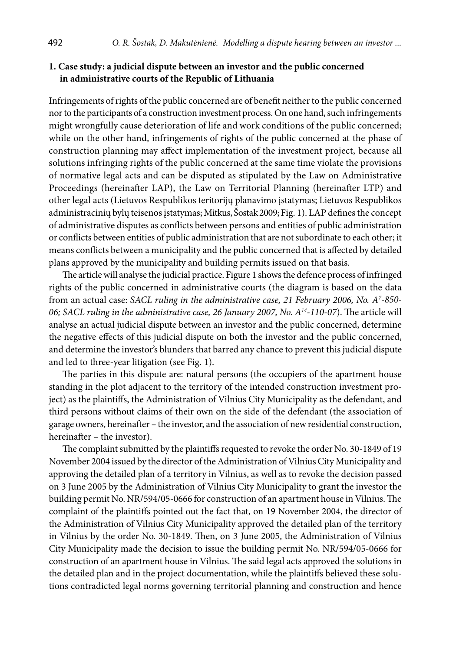## **1. Case study: a judicial dispute between an investor and the public concerned in administrative courts of the Republic of Lithuania**

Infringements of rights of the public concerned are of benefit neither to the public concerned nor to the participants of a construction investment process. On one hand, such infringements might wrongfully cause deterioration of life and work conditions of the public concerned; while on the other hand, infringements of rights of the public concerned at the phase of construction planning may affect implementation of the investment project, because all solutions infringing rights of the public concerned at the same time violate the provisions of normative legal acts and can be disputed as stipulated by the Law on Administrative Proceedings (hereinafter LAP), the Law on Territorial Planning (hereinafter LTP) and other legal acts (Lietuvos Respublikos teritorijų planavimo įstatymas; Lietuvos Respublikos administracinių bylų teisenos įstatymas; Mitkus, Šostak 2009; Fig. 1). LAP defines the concept of administrative disputes as conflicts between persons and entities of public administration or conflicts between entities of public administration that are not subordinate to each other; it means conflicts between a municipality and the public concerned that is affected by detailed plans approved by the municipality and building permits issued on that basis.

The article will analyse the judicial practice. Figure 1 shows the defence process of infringed rights of the public concerned in administrative courts (the diagram is based on the data from an actual case: *SACL ruling in the administrative case, 21 February 2006, No. A7 -850- 06; SACL ruling in the administrative case, 26 January 2007, No. A14-110-07*). The article will analyse an actual judicial dispute between an investor and the public concerned, determine the negative effects of this judicial dispute on both the investor and the public concerned, and determine the investor's blunders that barred any chance to prevent this judicial dispute and led to three-year litigation (see Fig. 1).

The parties in this dispute are: natural persons (the occupiers of the apartment house standing in the plot adjacent to the territory of the intended construction investment project) as the plaintiffs, the Administration of Vilnius City Municipality as the defendant, and third persons without claims of their own on the side of the defendant (the association of garage owners, hereinafter *–* the investor, and the association of new residential construction, hereinafter *–* the investor).

The complaint submitted by the plaintiffs requested to revoke the order No. 30-1849 of 19 November 2004 issued by the director of the Administration of Vilnius City Municipality and approving the detailed plan of a territory in Vilnius, as well as to revoke the decision passed on 3 June 2005 by the Administration of Vilnius City Municipality to grant the investor the building permit No. NR/594/05-0666 for construction of an apartment house in Vilnius. The complaint of the plaintiffs pointed out the fact that, on 19 November 2004, the director of the Administration of Vilnius City Municipality approved the detailed plan of the territory in Vilnius by the order No. 30-1849. Then, on 3 June 2005, the Administration of Vilnius City Municipality made the decision to issue the building permit No. NR/594/05-0666 for construction of an apartment house in Vilnius. The said legal acts approved the solutions in the detailed plan and in the project documentation, while the plaintiffs believed these solutions contradicted legal norms governing territorial planning and construction and hence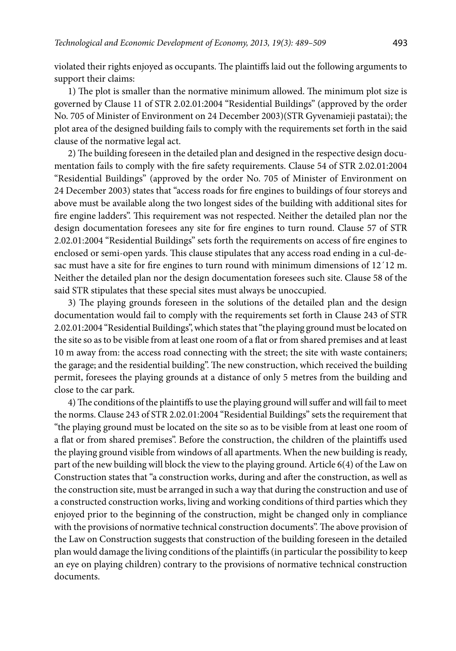violated their rights enjoyed as occupants. The plaintiffs laid out the following arguments to support their claims:

1) The plot is smaller than the normative minimum allowed. The minimum plot size is governed by Clause 11 of STR 2.02.01:2004 "Residential Buildings" (approved by the order No. 705 of Minister of Environment on 24 December 2003)(STR Gyvenamieji pastatai); the plot area of the designed building fails to comply with the requirements set forth in the said clause of the normative legal act.

2) The building foreseen in the detailed plan and designed in the respective design documentation fails to comply with the fire safety requirements. Clause 54 of STR 2.02.01:2004 "Residential Buildings" (approved by the order No. 705 of Minister of Environment on 24 December 2003) states that "access roads for fire engines to buildings of four storeys and above must be available along the two longest sides of the building with additional sites for fire engine ladders". This requirement was not respected. Neither the detailed plan nor the design documentation foresees any site for fire engines to turn round. Clause 57 of STR 2.02.01:2004 "Residential Buildings" sets forth the requirements on access of fire engines to enclosed or semi-open yards. This clause stipulates that any access road ending in a cul-desac must have a site for fire engines to turn round with minimum dimensions of 12´12 m. Neither the detailed plan nor the design documentation foresees such site. Clause 58 of the said STR stipulates that these special sites must always be unoccupied.

3) The playing grounds foreseen in the solutions of the detailed plan and the design documentation would fail to comply with the requirements set forth in Clause 243 of STR 2.02.01:2004 "Residential Buildings", which states that "the playing ground must be located on the site so as to be visible from at least one room of a flat or from shared premises and at least 10 m away from: the access road connecting with the street; the site with waste containers; the garage; and the residential building". The new construction, which received the building permit, foresees the playing grounds at a distance of only 5 metres from the building and close to the car park.

4) The conditions of the plaintiffs to use the playing ground will suffer and will fail to meet the norms. Clause 243 of STR 2.02.01:2004 "Residential Buildings" sets the requirement that "the playing ground must be located on the site so as to be visible from at least one room of a flat or from shared premises". Before the construction, the children of the plaintiffs used the playing ground visible from windows of all apartments. When the new building is ready, part of the new building will block the view to the playing ground. Article 6(4) of the Law on Construction states that "a construction works, during and after the construction, as well as the construction site, must be arranged in such a way that during the construction and use of a constructed construction works, living and working conditions of third parties which they enjoyed prior to the beginning of the construction, might be changed only in compliance with the provisions of normative technical construction documents". The above provision of the Law on Construction suggests that construction of the building foreseen in the detailed plan would damage the living conditions of the plaintiffs (in particular the possibility to keep an eye on playing children) contrary to the provisions of normative technical construction documents.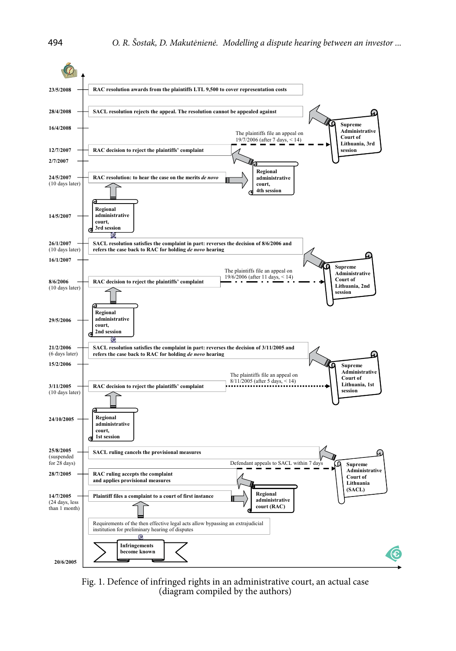

Fig. 1. Defence of infringed rights in an administrative court, an actual case (diagram compiled by the authors)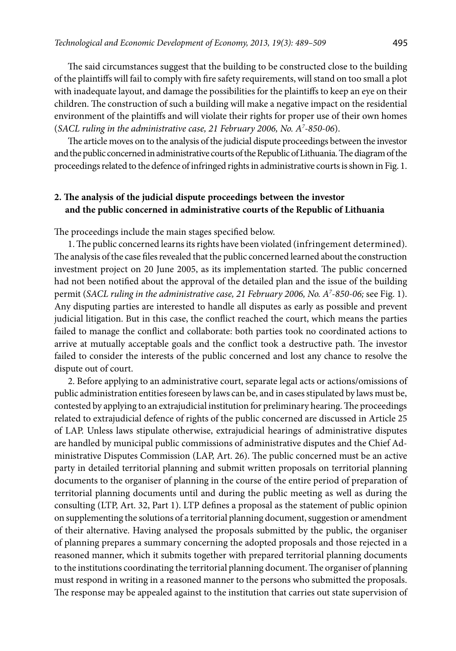The said circumstances suggest that the building to be constructed close to the building of the plaintiffs will fail to comply with fire safety requirements, will stand on too small a plot with inadequate layout, and damage the possibilities for the plaintiffs to keep an eye on their children. The construction of such a building will make a negative impact on the residential environment of the plaintiffs and will violate their rights for proper use of their own homes (*SACL ruling in the administrative case, 21 February 2006, No. A7 -850-06*).

The article moves on to the analysis of the judicial dispute proceedings between the investor and the public concerned in administrative courts of the Republic of Lithuania. The diagram of the proceedings related to the defence of infringed rights in administrative courts is shown in Fig. 1.

## **2. The analysis of the judicial dispute proceedings between the investor and the public concerned in administrative courts of the Republic of Lithuania**

The proceedings include the main stages specified below.

1. The public concerned learns its rights have been violated (infringement determined). The analysis of the case files revealed that the public concerned learned about the construction investment project on 20 June 2005, as its implementation started. The public concerned had not been notified about the approval of the detailed plan and the issue of the building permit (*SACL ruling in the administrative case, 21 February 2006, No. A7 -850-06;* see Fig. 1). Any disputing parties are interested to handle all disputes as early as possible and prevent judicial litigation. But in this case, the conflict reached the court, which means the parties failed to manage the conflict and collaborate: both parties took no coordinated actions to arrive at mutually acceptable goals and the conflict took a destructive path. The investor failed to consider the interests of the public concerned and lost any chance to resolve the dispute out of court.

2. Before applying to an administrative court, separate legal acts or actions/omissions of public administration entities foreseen by laws can be, and in cases stipulated by laws must be, contested by applying to an extrajudicial institution for preliminary hearing. The proceedings related to extrajudicial defence of rights of the public concerned are discussed in Article 25 of LAP. Unless laws stipulate otherwise, extrajudicial hearings of administrative disputes are handled by municipal public commissions of administrative disputes and the Chief Administrative Disputes Commission (LAP, Art. 26). The public concerned must be an active party in detailed territorial planning and submit written proposals on territorial planning documents to the organiser of planning in the course of the entire period of preparation of territorial planning documents until and during the public meeting as well as during the consulting (LTP, Art. 32, Part 1). LTP defines a proposal as the statement of public opinion on supplementing the solutions of a territorial planning document, suggestion or amendment of their alternative. Having analysed the proposals submitted by the public, the organiser of planning prepares a summary concerning the adopted proposals and those rejected in a reasoned manner, which it submits together with prepared territorial planning documents to the institutions coordinating the territorial planning document. The organiser of planning must respond in writing in a reasoned manner to the persons who submitted the proposals. The response may be appealed against to the institution that carries out state supervision of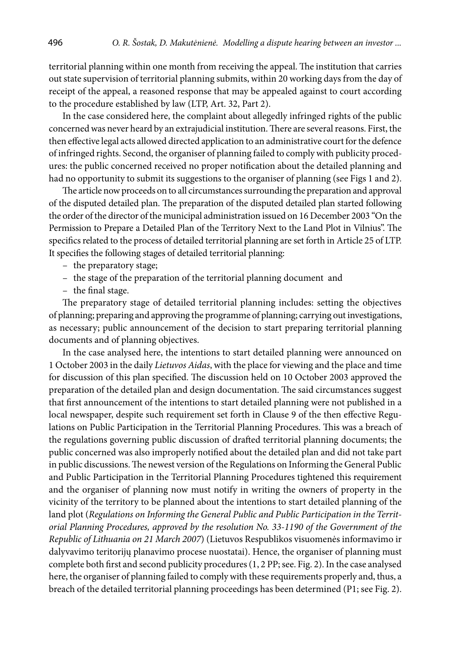territorial planning within one month from receiving the appeal. The institution that carries out state supervision of territorial planning submits, within 20 working days from the day of receipt of the appeal, a reasoned response that may be appealed against to court according to the procedure established by law (LTP, Art. 32, Part 2).

In the case considered here, the complaint about allegedly infringed rights of the public concerned was never heard by an extrajudicial institution. There are several reasons. First, the then effective legal acts allowed directed application to an administrative court for the defence of infringed rights. Second, the organiser of planning failed to comply with publicity procedures: the public concerned received no proper notification about the detailed planning and had no opportunity to submit its suggestions to the organiser of planning (see Figs 1 and 2).

The article now proceeds on to all circumstances surrounding the preparation and approval of the disputed detailed plan. The preparation of the disputed detailed plan started following the order of the director of the municipal administration issued on 16 December 2003 "On the Permission to Prepare a Detailed Plan of the Territory Next to the Land Plot in Vilnius". The specifics related to the process of detailed territorial planning are set forth in Article 25 of LTP. It specifies the following stages of detailed territorial planning:

- the preparatory stage;
- the stage of the preparation of the territorial planning document and
- the final stage.

The preparatory stage of detailed territorial planning includes: setting the objectives of planning; preparing and approving the programme of planning; carrying out investigations, as necessary; public announcement of the decision to start preparing territorial planning documents and of planning objectives.

In the case analysed here, the intentions to start detailed planning were announced on 1 October 2003 in the daily *Lietuvos Aidas*, with the place for viewing and the place and time for discussion of this plan specified. The discussion held on 10 October 2003 approved the preparation of the detailed plan and design documentation. The said circumstances suggest that first announcement of the intentions to start detailed planning were not published in a local newspaper, despite such requirement set forth in Clause 9 of the then effective Regulations on Public Participation in the Territorial Planning Procedures. This was a breach of the regulations governing public discussion of drafted territorial planning documents; the public concerned was also improperly notified about the detailed plan and did not take part in public discussions. The newest version of the Regulations on Informing the General Public and Public Participation in the Territorial Planning Procedures tightened this requirement and the organiser of planning now must notify in writing the owners of property in the vicinity of the territory to be planned about the intentions to start detailed planning of the land plot (*Regulations on Informing the General Public and Public Participation in the Territorial Planning Procedures, approved by the resolution No. 33-1190 of the Government of the Republic of Lithuania on 21 March 2007*) (Lietuvos Respublikos visuomenės informavimo ir dalyvavimo teritorijų planavimo procese nuostatai). Hence, the organiser of planning must complete both first and second publicity procedures (1, 2 PP; see. Fig. 2). In the case analysed here, the organiser of planning failed to comply with these requirements properly and, thus, a breach of the detailed territorial planning proceedings has been determined (P1; see Fig. 2).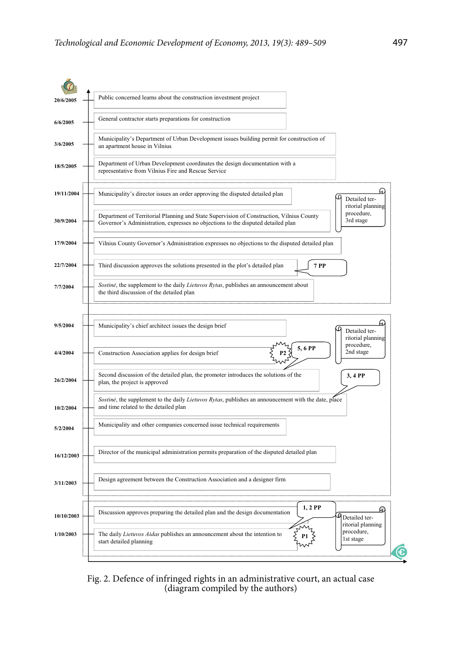

Fig. 2. Defence of infringed rights in an administrative court, an actual case (diagram compiled by the authors)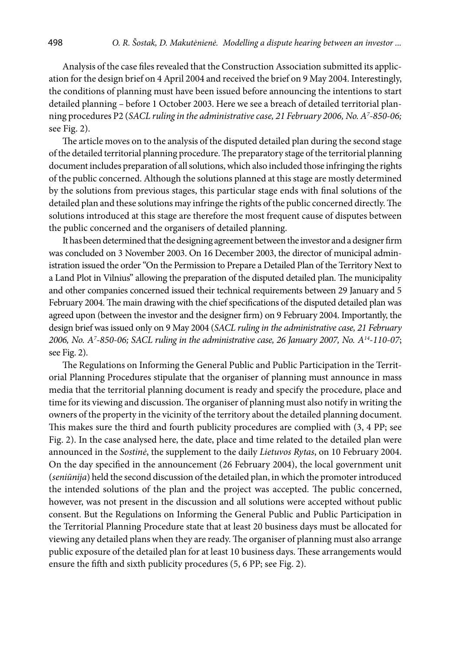Analysis of the case files revealed that the Construction Association submitted its application for the design brief on 4 April 2004 and received the brief on 9 May 2004. Interestingly, the conditions of planning must have been issued before announcing the intentions to start detailed planning *–* before 1 October 2003. Here we see a breach of detailed territorial planning procedures P2 (*SACL ruling in the administrative case, 21 February 2006, No. A7 -850-06;* see Fig. 2).

The article moves on to the analysis of the disputed detailed plan during the second stage of the detailed territorial planning procedure. The preparatory stage of the territorial planning document includes preparation of all solutions, which also included those infringing the rights of the public concerned. Although the solutions planned at this stage are mostly determined by the solutions from previous stages, this particular stage ends with final solutions of the detailed plan and these solutions may infringe the rights of the public concerned directly. The solutions introduced at this stage are therefore the most frequent cause of disputes between the public concerned and the organisers of detailed planning.

It has been determined that the designing agreement between the investor and a designer firm was concluded on 3 November 2003. On 16 December 2003, the director of municipal administration issued the order "On the Permission to Prepare a Detailed Plan of the Territory Next to a Land Plot in Vilnius" allowing the preparation of the disputed detailed plan. The municipality and other companies concerned issued their technical requirements between 29 January and 5 February 2004. The main drawing with the chief specifications of the disputed detailed plan was agreed upon (between the investor and the designer firm) on 9 February 2004. Importantly, the design brief was issued only on 9 May 2004 (*SACL ruling in the administrative case, 21 February 2006, No. A7 -850-06; SACL ruling in the administrative case, 26 January 2007, No. A14-110-07*; see Fig. 2).

The Regulations on Informing the General Public and Public Participation in the Territorial Planning Procedures stipulate that the organiser of planning must announce in mass media that the territorial planning document is ready and specify the procedure, place and time for its viewing and discussion. The organiser of planning must also notify in writing the owners of the property in the vicinity of the territory about the detailed planning document. This makes sure the third and fourth publicity procedures are complied with (3, 4 PP; see Fig. 2). In the case analysed here, the date, place and time related to the detailed plan were announced in the *Sostinė*, the supplement to the daily *Lietuvos Rytas*, on 10 February 2004. On the day specified in the announcement (26 February 2004), the local government unit (*seniūnija*) held the second discussion of the detailed plan, in which the promoter introduced the intended solutions of the plan and the project was accepted. The public concerned, however, was not present in the discussion and all solutions were accepted without public consent. But the Regulations on Informing the General Public and Public Participation in the Territorial Planning Procedure state that at least 20 business days must be allocated for viewing any detailed plans when they are ready. The organiser of planning must also arrange public exposure of the detailed plan for at least 10 business days. These arrangements would ensure the fifth and sixth publicity procedures (5, 6 PP; see Fig. 2).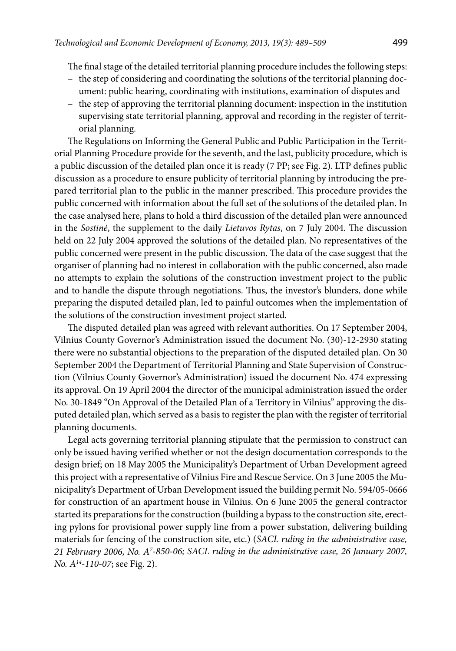The final stage of the detailed territorial planning procedure includes the following steps:

- the step of considering and coordinating the solutions of the territorial planning document: public hearing, coordinating with institutions, examination of disputes and
- the step of approving the territorial planning document: inspection in the institution supervising state territorial planning, approval and recording in the register of territorial planning.

The Regulations on Informing the General Public and Public Participation in the Territorial Planning Procedure provide for the seventh, and the last, publicity procedure, which is a public discussion of the detailed plan once it is ready (7 PP; see Fig. 2). LTP defines public discussion as a procedure to ensure publicity of territorial planning by introducing the prepared territorial plan to the public in the manner prescribed. This procedure provides the public concerned with information about the full set of the solutions of the detailed plan. In the case analysed here, plans to hold a third discussion of the detailed plan were announced in the *Sostinė*, the supplement to the daily *Lietuvos Rytas*, on 7 July 2004. The discussion held on 22 July 2004 approved the solutions of the detailed plan. No representatives of the public concerned were present in the public discussion. The data of the case suggest that the organiser of planning had no interest in collaboration with the public concerned, also made no attempts to explain the solutions of the construction investment project to the public and to handle the dispute through negotiations. Thus, the investor's blunders, done while preparing the disputed detailed plan, led to painful outcomes when the implementation of the solutions of the construction investment project started.

The disputed detailed plan was agreed with relevant authorities. On 17 September 2004, Vilnius County Governor's Administration issued the document No. (30)-12-2930 stating there were no substantial objections to the preparation of the disputed detailed plan. On 30 September 2004 the Department of Territorial Planning and State Supervision of Construction (Vilnius County Governor's Administration) issued the document No. 474 expressing its approval. On 19 April 2004 the director of the municipal administration issued the order No. 30-1849 "On Approval of the Detailed Plan of a Territory in Vilnius" approving the disputed detailed plan, which served as a basis to register the plan with the register of territorial planning documents.

Legal acts governing territorial planning stipulate that the permission to construct can only be issued having verified whether or not the design documentation corresponds to the design brief; on 18 May 2005 the Municipality's Department of Urban Development agreed this project with a representative of Vilnius Fire and Rescue Service. On 3 June 2005 the Municipality's Department of Urban Development issued the building permit No. 594/05-0666 for construction of an apartment house in Vilnius. On 6 June 2005 the general contractor started its preparations for the construction (building a bypass to the construction site, erecting pylons for provisional power supply line from a power substation, delivering building materials for fencing of the construction site, etc.) (*SACL ruling in the administrative case, 21 February 2006, No. A7 -850-06; SACL ruling in the administrative case, 26 January 2007, No. A14-110-07*; see Fig. 2).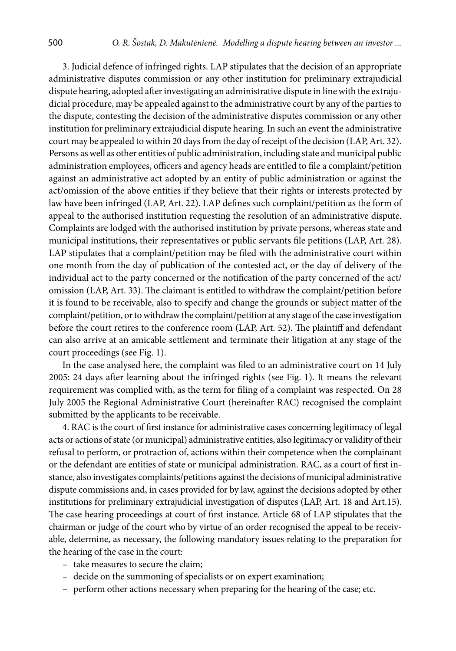3. Judicial defence of infringed rights. LAP stipulates that the decision of an appropriate administrative disputes commission or any other institution for preliminary extrajudicial dispute hearing, adopted after investigating an administrative dispute in line with the extrajudicial procedure, may be appealed against to the administrative court by any of the parties to the dispute, contesting the decision of the administrative disputes commission or any other institution for preliminary extrajudicial dispute hearing. In such an event the administrative court may be appealed to within 20 days from the day of receipt of the decision (LAP, Art. 32). Persons as well as other entities of public administration, including state and municipal public administration employees, officers and agency heads are entitled to file a complaint/petition against an administrative act adopted by an entity of public administration or against the act/omission of the above entities if they believe that their rights or interests protected by law have been infringed (LAP, Art. 22). LAP defines such complaint/petition as the form of appeal to the authorised institution requesting the resolution of an administrative dispute. Complaints are lodged with the authorised institution by private persons, whereas state and municipal institutions, their representatives or public servants file petitions (LAP, Art. 28). LAP stipulates that a complaint/petition may be filed with the administrative court within one month from the day of publication of the contested act, or the day of delivery of the individual act to the party concerned or the notification of the party concerned of the act/ omission (LAP, Art. 33). The claimant is entitled to withdraw the complaint/petition before it is found to be receivable, also to specify and change the grounds or subject matter of the complaint/petition, or to withdraw the complaint/petition at any stage of the case investigation before the court retires to the conference room (LAP, Art. 52). The plaintiff and defendant can also arrive at an amicable settlement and terminate their litigation at any stage of the court proceedings (see Fig. 1).

In the case analysed here, the complaint was filed to an administrative court on 14 July 2005: 24 days after learning about the infringed rights (see Fig. 1). It means the relevant requirement was complied with, as the term for filing of a complaint was respected. On 28 July 2005 the Regional Administrative Court (hereinafter RAC) recognised the complaint submitted by the applicants to be receivable.

4. RAC is the court of first instance for administrative cases concerning legitimacy of legal acts or actions of state (or municipal) administrative entities, also legitimacy or validity of their refusal to perform, or protraction of, actions within their competence when the complainant or the defendant are entities of state or municipal administration. RAC, as a court of first instance, also investigates complaints/petitions against the decisions of municipal administrative dispute commissions and, in cases provided for by law, against the decisions adopted by other institutions for preliminary extrajudicial investigation of disputes (LAP, Art. 18 and Art.15). The case hearing proceedings at court of first instance. Article 68 of LAP stipulates that the chairman or judge of the court who by virtue of an order recognised the appeal to be receivable, determine, as necessary, the following mandatory issues relating to the preparation for the hearing of the case in the court:

- take measures to secure the claim;
- decide on the summoning of specialists or on expert examination;
- perform other actions necessary when preparing for the hearing of the case; etc.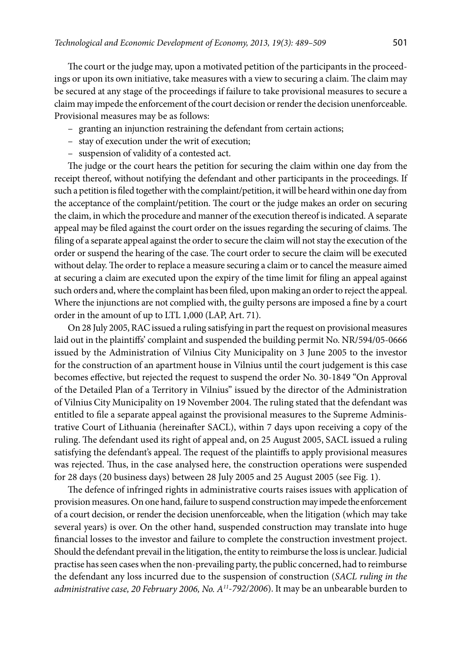The court or the judge may, upon a motivated petition of the participants in the proceedings or upon its own initiative, take measures with a view to securing a claim. The claim may be secured at any stage of the proceedings if failure to take provisional measures to secure a claim may impede the enforcement of the court decision or render the decision unenforceable. Provisional measures may be as follows:

- granting an injunction restraining the defendant from certain actions;
- stay of execution under the writ of execution;
- suspension of validity of a contested act.

The judge or the court hears the petition for securing the claim within one day from the receipt thereof, without notifying the defendant and other participants in the proceedings. If such a petition is filed together with the complaint/petition, it will be heard within one day from the acceptance of the complaint/petition. The court or the judge makes an order on securing the claim, in which the procedure and manner of the execution thereof is indicated. A separate appeal may be filed against the court order on the issues regarding the securing of claims. The filing of a separate appeal against the order to secure the claim will not stay the execution of the order or suspend the hearing of the case. The court order to secure the claim will be executed without delay. The order to replace a measure securing a claim or to cancel the measure aimed at securing a claim are executed upon the expiry of the time limit for filing an appeal against such orders and, where the complaint has been filed, upon making an order to reject the appeal. Where the injunctions are not complied with, the guilty persons are imposed a fine by a court order in the amount of up to LTL 1,000 (LAP, Art. 71).

On 28 July 2005, RAC issued a ruling satisfying in part the request on provisional measures laid out in the plaintiffs' complaint and suspended the building permit No. NR/594/05-0666 issued by the Administration of Vilnius City Municipality on 3 June 2005 to the investor for the construction of an apartment house in Vilnius until the court judgement is this case becomes effective, but rejected the request to suspend the order No. 30-1849 "On Approval of the Detailed Plan of a Territory in Vilnius" issued by the director of the Administration of Vilnius City Municipality on 19 November 2004. The ruling stated that the defendant was entitled to file a separate appeal against the provisional measures to the Supreme Administrative Court of Lithuania (hereinafter SACL), within 7 days upon receiving a copy of the ruling. The defendant used its right of appeal and, on 25 August 2005, SACL issued a ruling satisfying the defendant's appeal. The request of the plaintiffs to apply provisional measures was rejected. Thus, in the case analysed here, the construction operations were suspended for 28 days (20 business days) between 28 July 2005 and 25 August 2005 (see Fig. 1).

The defence of infringed rights in administrative courts raises issues with application of provision measures. On one hand, failure to suspend construction may impede the enforcement of a court decision, or render the decision unenforceable, when the litigation (which may take several years) is over. On the other hand, suspended construction may translate into huge financial losses to the investor and failure to complete the construction investment project. Should the defendant prevail in the litigation, the entity to reimburse the loss is unclear. Judicial practise has seen cases when the non-prevailing party, the public concerned, had to reimburse the defendant any loss incurred due to the suspension of construction (*SACL ruling in the administrative case, 20 February 2006, No. A11-792/2006*). It may be an unbearable burden to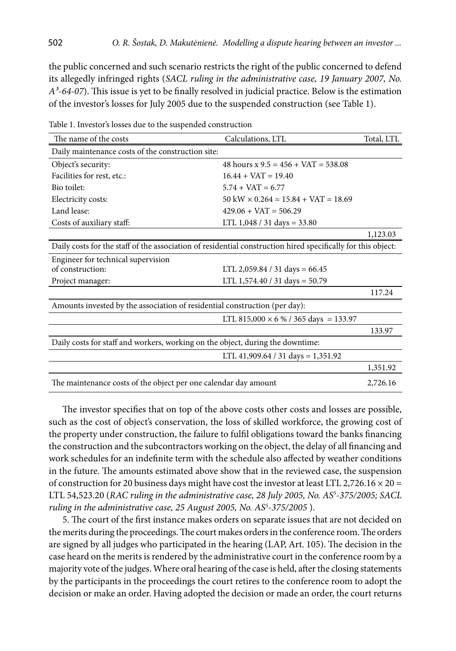the public concerned and such scenario restricts the right of the public concerned to defend its allegedly infringed rights (*SACL ruling in the administrative case, 19 January 2007, No. A³-64-07*). This issue is yet to be finally resolved in judicial practice. Below is the estimation of the investor's losses for July 2005 due to the suspended construction (see Table 1).

| The name of the costs                                                                                        | Calculations, LTL                                         | Total, LTL |
|--------------------------------------------------------------------------------------------------------------|-----------------------------------------------------------|------------|
| Daily maintenance costs of the construction site:                                                            |                                                           |            |
| Object's security:                                                                                           | 48 hours $x 9.5 = 456 + VAT = 538.08$                     |            |
| Facilities for rest, etc.:                                                                                   | $16.44 + \text{VAT} = 19.40$                              |            |
| Bio toilet:                                                                                                  | $5.74 + VAT = 6.77$                                       |            |
| Electricity costs:                                                                                           | $50 \text{ kW} \times 0.264 = 15.84 + \text{VAT} = 18.69$ |            |
| Land lease:                                                                                                  | $429.06 + VAT = 506.29$                                   |            |
| Costs of auxiliary staff:                                                                                    | LTL $1,048 / 31$ days = 33.80                             |            |
|                                                                                                              |                                                           | 1,123.03   |
| Daily costs for the staff of the association of residential construction hired specifically for this object: |                                                           |            |
| Engineer for technical supervision                                                                           |                                                           |            |
| of construction:                                                                                             | LTL 2,059.84 / 31 days = $66.45$                          |            |
| Project manager:                                                                                             | LTL 1,574.40 / 31 days = $50.79$                          |            |
|                                                                                                              |                                                           | 117.24     |
| Amounts invested by the association of residential construction (per day):                                   |                                                           |            |
|                                                                                                              | LTL 815,000 $\times$ 6 % / 365 days = 133.97              |            |
|                                                                                                              |                                                           | 133.97     |
| Daily costs for staff and workers, working on the object, during the downtime:                               |                                                           |            |
|                                                                                                              | LTL 41,909.64 / 31 days = $1,351.92$                      |            |
|                                                                                                              |                                                           | 1,351.92   |
| The maintenance costs of the object per one calendar day amount                                              |                                                           | 2,726.16   |

Table 1. Investor's losses due to the suspended construction

The investor specifies that on top of the above costs other costs and losses are possible, such as the cost of object's conservation, the loss of skilled workforce, the growing cost of the property under construction, the failure to fulfil obligations toward the banks financing the construction and the subcontractors working on the object, the delay of all financing and work schedules for an indefinite term with the schedule also affected by weather conditions in the future. The amounts estimated above show that in the reviewed case, the suspension of construction for 20 business days might have cost the investor at least LTL 2,726.16  $\times$  20 = LTL 54,523.20 (*RAC ruling in the administrative case, 28 July 2005, No. AS5 -375/2005; SACL ruling in the administrative case, 25 August 2005, No. AS5 -375/2005* ).

5. The court of the first instance makes orders on separate issues that are not decided on the merits during the proceedings. The court makes orders in the conference room. The orders are signed by all judges who participated in the hearing (LAP, Art. 105). The decision in the case heard on the merits is rendered by the administrative court in the conference room by a majority vote of the judges. Where oral hearing of the case is held, after the closing statements by the participants in the proceedings the court retires to the conference room to adopt the decision or make an order. Having adopted the decision or made an order, the court returns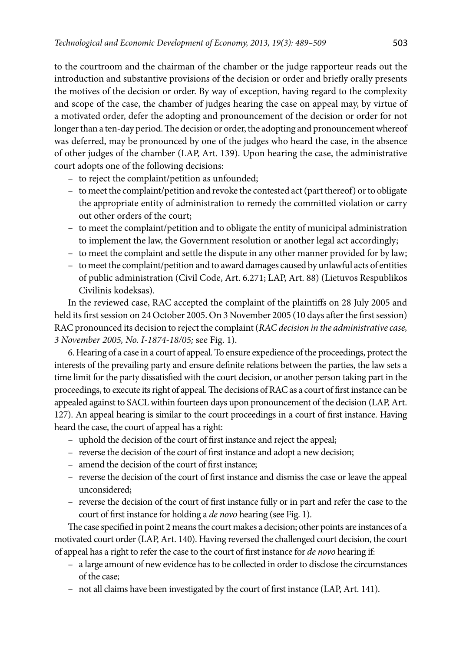to the courtroom and the chairman of the chamber or the judge rapporteur reads out the introduction and substantive provisions of the decision or order and briefly orally presents the motives of the decision or order. By way of exception, having regard to the complexity and scope of the case, the chamber of judges hearing the case on appeal may, by virtue of a motivated order, defer the adopting and pronouncement of the decision or order for not longer than a ten-day period. The decision or order, the adopting and pronouncement whereof was deferred, may be pronounced by one of the judges who heard the case, in the absence of other judges of the chamber (LAP, Art. 139). Upon hearing the case, the administrative court adopts one of the following decisions:

- to reject the complaint/petition as unfounded;
- to meet the complaint/petition and revoke the contested act (part thereof) or to obligate the appropriate entity of administration to remedy the committed violation or carry out other orders of the court;
- to meet the complaint/petition and to obligate the entity of municipal administration to implement the law, the Government resolution or another legal act accordingly;
- to meet the complaint and settle the dispute in any other manner provided for by law;
- to meet the complaint/petition and to award damages caused by unlawful acts of entities of public administration (Civil Code, Art. 6.271; LAP, Art. 88) (Lietuvos Respublikos Civilinis kodeksas).

In the reviewed case, RAC accepted the complaint of the plaintiffs on 28 July 2005 and held its first session on 24 October 2005. On 3 November 2005 (10 days after the first session) RAC pronounced its decision to reject the complaint (*RAC decision in the administrative case, 3 November 2005, No. I-1874-18/05;* see Fig. 1).

6. Hearing of a case in a court of appeal. To ensure expedience of the proceedings, protect the interests of the prevailing party and ensure definite relations between the parties, the law sets a time limit for the party dissatisfied with the court decision, or another person taking part in the proceedings, to execute its right of appeal. The decisions of RAC as a court of first instance can be appealed against to SACL within fourteen days upon pronouncement of the decision (LAP, Art. 127). An appeal hearing is similar to the court proceedings in a court of first instance. Having heard the case, the court of appeal has a right:

- uphold the decision of the court of first instance and reject the appeal;
- reverse the decision of the court of first instance and adopt a new decision;
- amend the decision of the court of first instance;
- reverse the decision of the court of first instance and dismiss the case or leave the appeal unconsidered;
- reverse the decision of the court of first instance fully or in part and refer the case to the court of first instance for holding a *de novo* hearing (see Fig. 1).

The case specified in point 2 means the court makes a decision; other points are instances of a motivated court order (LAP, Art. 140). Having reversed the challenged court decision, the court of appeal has a right to refer the case to the court of first instance for *de novo* hearing if:

- a large amount of new evidence has to be collected in order to disclose the circumstances of the case;
- not all claims have been investigated by the court of first instance (LAP, Art. 141).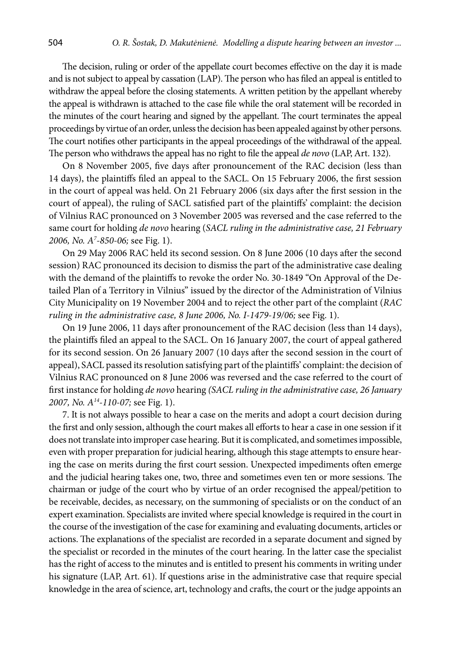The decision, ruling or order of the appellate court becomes effective on the day it is made and is not subject to appeal by cassation (LAP). The person who has filed an appeal is entitled to withdraw the appeal before the closing statements. A written petition by the appellant whereby the appeal is withdrawn is attached to the case file while the oral statement will be recorded in the minutes of the court hearing and signed by the appellant. The court terminates the appeal proceedings by virtue of an order, unless the decision has been appealed against by other persons. The court notifies other participants in the appeal proceedings of the withdrawal of the appeal. The person who withdraws the appeal has no right to file the appeal *de novo* (LAP, Art. 132).

On 8 November 2005, five days after pronouncement of the RAC decision (less than 14 days), the plaintiffs filed an appeal to the SACL. On 15 February 2006, the first session in the court of appeal was held. On 21 February 2006 (six days after the first session in the court of appeal), the ruling of SACL satisfied part of the plaintiffs' complaint: the decision of Vilnius RAC pronounced on 3 November 2005 was reversed and the case referred to the same court for holding *de novo* hearing (*SACL ruling in the administrative case, 21 February 2006, No. A7 -850-06;* see Fig. 1).

On 29 May 2006 RAC held its second session. On 8 June 2006 (10 days after the second session) RAC pronounced its decision to dismiss the part of the administrative case dealing with the demand of the plaintiffs to revoke the order No. 30-1849 "On Approval of the Detailed Plan of a Territory in Vilnius" issued by the director of the Administration of Vilnius City Municipality on 19 November 2004 and to reject the other part of the complaint (*RAC ruling in the administrative case, 8 June 2006, No. I-1479-19/06;* see Fig. 1).

On 19 June 2006, 11 days after pronouncement of the RAC decision (less than 14 days), the plaintiffs filed an appeal to the SACL. On 16 January 2007, the court of appeal gathered for its second session. On 26 January 2007 (10 days after the second session in the court of appeal), SACL passed its resolution satisfying part of the plaintiffs' complaint: the decision of Vilnius RAC pronounced on 8 June 2006 was reversed and the case referred to the court of first instance for holding *de novo* hearing *(SACL ruling in the administrative case, 26 January 2007, No. A14-110-07;* see Fig. 1).

7. It is not always possible to hear a case on the merits and adopt a court decision during the first and only session, although the court makes all efforts to hear a case in one session if it does not translate into improper case hearing. But it is complicated, and sometimes impossible, even with proper preparation for judicial hearing, although this stage attempts to ensure hearing the case on merits during the first court session. Unexpected impediments often emerge and the judicial hearing takes one, two, three and sometimes even ten or more sessions. The chairman or judge of the court who by virtue of an order recognised the appeal/petition to be receivable, decides, as necessary, on the summoning of specialists or on the conduct of an expert examination. Specialists are invited where special knowledge is required in the court in the course of the investigation of the case for examining and evaluating documents, articles or actions. The explanations of the specialist are recorded in a separate document and signed by the specialist or recorded in the minutes of the court hearing. In the latter case the specialist has the right of access to the minutes and is entitled to present his comments in writing under his signature (LAP, Art. 61). If questions arise in the administrative case that require special knowledge in the area of science, art, technology and crafts, the court or the judge appoints an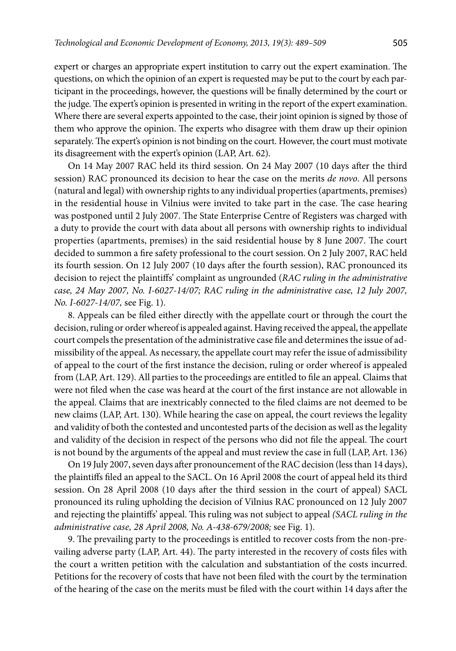expert or charges an appropriate expert institution to carry out the expert examination. The questions, on which the opinion of an expert is requested may be put to the court by each participant in the proceedings, however, the questions will be finally determined by the court or the judge. The expert's opinion is presented in writing in the report of the expert examination. Where there are several experts appointed to the case, their joint opinion is signed by those of them who approve the opinion. The experts who disagree with them draw up their opinion separately. The expert's opinion is not binding on the court. However, the court must motivate its disagreement with the expert's opinion (LAP, Art. 62).

On 14 May 2007 RAC held its third session. On 24 May 2007 (10 days after the third session) RAC pronounced its decision to hear the case on the merits *de novo*. All persons (natural and legal) with ownership rights to any individual properties (apartments, premises) in the residential house in Vilnius were invited to take part in the case. The case hearing was postponed until 2 July 2007. The State Enterprise Centre of Registers was charged with a duty to provide the court with data about all persons with ownership rights to individual properties (apartments, premises) in the said residential house by 8 June 2007. The court decided to summon a fire safety professional to the court session. On 2 July 2007, RAC held its fourth session. On 12 July 2007 (10 days after the fourth session), RAC pronounced its decision to reject the plaintiffs' complaint as ungrounded (*RAC ruling in the administrative case, 24 May 2007, No. I-6027-14/07; RAC ruling in the administrative case, 12 July 2007, No. I-6027-14/07,* see Fig. 1).

8. Appeals can be filed either directly with the appellate court or through the court the decision, ruling or order whereof is appealed against. Having received the appeal, the appellate court compels the presentation of the administrative case file and determines the issue of admissibility of the appeal. As necessary, the appellate court may refer the issue of admissibility of appeal to the court of the first instance the decision, ruling or order whereof is appealed from (LAP, Art. 129). All parties to the proceedings are entitled to file an appeal. Claims that were not filed when the case was heard at the court of the first instance are not allowable in the appeal. Claims that are inextricably connected to the filed claims are not deemed to be new claims (LAP, Art. 130). While hearing the case on appeal, the court reviews the legality and validity of both the contested and uncontested parts of the decision as well as the legality and validity of the decision in respect of the persons who did not file the appeal. The court is not bound by the arguments of the appeal and must review the case in full (LAP, Art. 136)

On 19 July 2007, seven days after pronouncement of the RAC decision (less than 14 days), the plaintiffs filed an appeal to the SACL. On 16 April 2008 the court of appeal held its third session. On 28 April 2008 (10 days after the third session in the court of appeal) SACL pronounced its ruling upholding the decision of Vilnius RAC pronounced on 12 July 2007 and rejecting the plaintiffs' appeal. This ruling was not subject to appeal *(SACL ruling in the administrative case, 28 April 2008, No. A-438-679/2008;* see Fig. 1).

9. The prevailing party to the proceedings is entitled to recover costs from the non-prevailing adverse party (LAP, Art. 44). The party interested in the recovery of costs files with the court a written petition with the calculation and substantiation of the costs incurred. Petitions for the recovery of costs that have not been filed with the court by the termination of the hearing of the case on the merits must be filed with the court within 14 days after the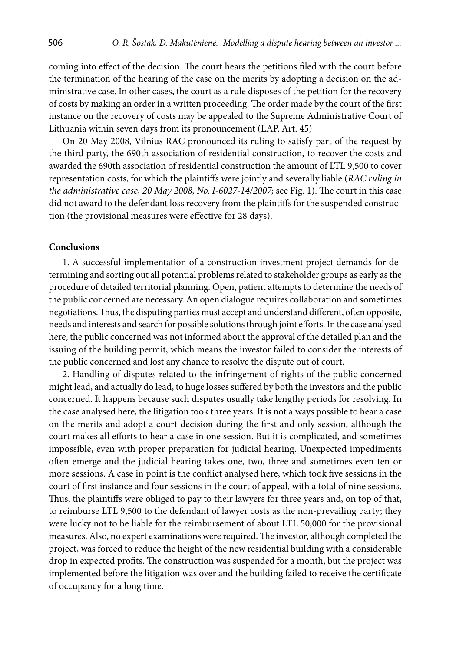coming into effect of the decision. The court hears the petitions filed with the court before the termination of the hearing of the case on the merits by adopting a decision on the administrative case. In other cases, the court as a rule disposes of the petition for the recovery of costs by making an order in a written proceeding. The order made by the court of the first instance on the recovery of costs may be appealed to the Supreme Administrative Court of Lithuania within seven days from its pronouncement (LAP, Art. 45)

On 20 May 2008, Vilnius RAC pronounced its ruling to satisfy part of the request by the third party, the 690th association of residential construction, to recover the costs and awarded the 690th association of residential construction the amount of LTL 9,500 to cover representation costs, for which the plaintiffs were jointly and severally liable (*RAC ruling in the administrative case, 20 May 2008, No. I-6027-14/2007;* see Fig. 1). The court in this case did not award to the defendant loss recovery from the plaintiffs for the suspended construction (the provisional measures were effective for 28 days).

#### **Conclusions**

1. A successful implementation of a construction investment project demands for determining and sorting out all potential problems related to stakeholder groups as early as the procedure of detailed territorial planning. Open, patient attempts to determine the needs of the public concerned are necessary. An open dialogue requires collaboration and sometimes negotiations. Thus, the disputing parties must accept and understand different, often opposite, needs and interests and search for possible solutions through joint efforts. In the case analysed here, the public concerned was not informed about the approval of the detailed plan and the issuing of the building permit, which means the investor failed to consider the interests of the public concerned and lost any chance to resolve the dispute out of court.

2. Handling of disputes related to the infringement of rights of the public concerned might lead, and actually do lead, to huge losses suffered by both the investors and the public concerned. It happens because such disputes usually take lengthy periods for resolving. In the case analysed here, the litigation took three years. It is not always possible to hear a case on the merits and adopt a court decision during the first and only session, although the court makes all efforts to hear a case in one session. But it is complicated, and sometimes impossible, even with proper preparation for judicial hearing. Unexpected impediments often emerge and the judicial hearing takes one, two, three and sometimes even ten or more sessions. A case in point is the conflict analysed here, which took five sessions in the court of first instance and four sessions in the court of appeal, with a total of nine sessions. Thus, the plaintiffs were obliged to pay to their lawyers for three years and, on top of that, to reimburse LTL 9,500 to the defendant of lawyer costs as the non-prevailing party; they were lucky not to be liable for the reimbursement of about LTL 50,000 for the provisional measures. Also, no expert examinations were required. The investor, although completed the project, was forced to reduce the height of the new residential building with a considerable drop in expected profits. The construction was suspended for a month, but the project was implemented before the litigation was over and the building failed to receive the certificate of occupancy for a long time.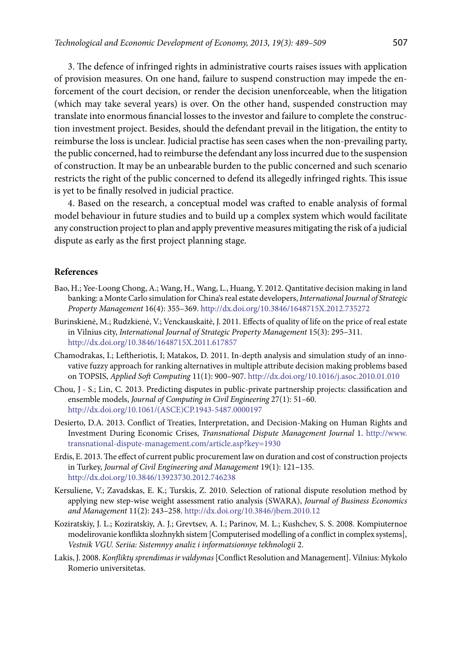3. The defence of infringed rights in administrative courts raises issues with application of provision measures. On one hand, failure to suspend construction may impede the enforcement of the court decision, or render the decision unenforceable, when the litigation (which may take several years) is over. On the other hand, suspended construction may translate into enormous financial losses to the investor and failure to complete the construction investment project. Besides, should the defendant prevail in the litigation, the entity to reimburse the loss is unclear. Judicial practise has seen cases when the non-prevailing party, the public concerned, had to reimburse the defendant any loss incurred due to the suspension of construction. It may be an unbearable burden to the public concerned and such scenario restricts the right of the public concerned to defend its allegedly infringed rights. This issue is yet to be finally resolved in judicial practice.

4. Based on the research, a conceptual model was crafted to enable analysis of formal model behaviour in future studies and to build up a complex system which would facilitate any construction project to plan and apply preventive measures mitigating the risk of a judicial dispute as early as the first project planning stage.

## **References**

- Bao, H.; Yee-Loong Chong, A.; Wang, H., Wang, L., Huang, Y. 2012. Qantitative decision making in land banking: a Monte Carlo simulation for China's real estate developers, *International Journal of Strategic Property Management* 16(4): 355–369. <http://dx.doi.org/10.3846/1648715X.2012.735272>
- Burinskienė, M.; Rudzkienė, V.; Venckauskaitė, J. 2011. Effects of quality of life on the price of real estate in Vilnius city, *International Journal of Strategic Property Management* 15(3): 295–311. <http://dx.doi.org/10.3846/1648715X.2011.617857>
- Chamodrakas, I.; Leftheriotis, I; Matakos, D. 2011. In-depth analysis and simulation study of an innovative fuzzy approach for ranking alternatives in multiple attribute decision making problems based on TOPSIS, *Applied Soft Computing* 11(1): 900–907. <http://dx.doi.org/10.1016/j.asoc.2010.01.010>
- Chou, J S.; Lin, C. 2013. Predicting disputes in public-private partnership projects: classification and ensemble models, *Journal of Computing in Civil Engineering* 27(1): 51–60. [http://dx.doi.org/10.1061/\(ASCE\)CP.1943-5487.0000197](http://dx.doi.org/10.1061/%28ASCE%29CP.1943-5487.0000197)
- Desierto, D.A. 2013. Conflict of Treaties, Interpretation, and Decision-Making on Human Rights and Investment During Economic Crises, *Transnational Dispute Management Journal* 1. [http://www.](http://www.transnational-dispute-management.com/article.asp?key=1930) [transnational-dispute-management.com/article.asp?key=1930](http://www.transnational-dispute-management.com/article.asp?key=1930)
- Erdis, E. 2013. The effect of current public procurement law on duration and cost of construction projects in Turkey, *Journal of Civil Engineering and Management* 19(1): 121**–**135. <http://dx.doi.org/10.3846/13923730.2012.746238>
- Kersuliene, V.; Zavadskas, E. K.; Turskis, Z. 2010. Selection of rational dispute resolution method by applying new step-wise weight assessment ratio analysis (SWARA), *Journal of Business Economics and Management* 11(2): 243–258. <http://dx.doi.org/10.3846/jbem.2010.12>
- Koziratskiy, J. L.; Koziratskiy, A. J.; Grevtsev, A. I.; Parinov, M. L.; Kushchev, S. S. 2008. Kompiuternoe modelirovanie konflikta slozhnykh sistem [Computerised modelling of a conflict in complex systems], *Vestnik VGU. Seriia: Sistemnyy analiz i informatsionnye tekhnologii* 2.
- Lakis, J. 2008. *Konfliktų sprendimas ir valdymas* [Conflict Resolution and Management]. Vilnius: Mykolo Romerio universitetas.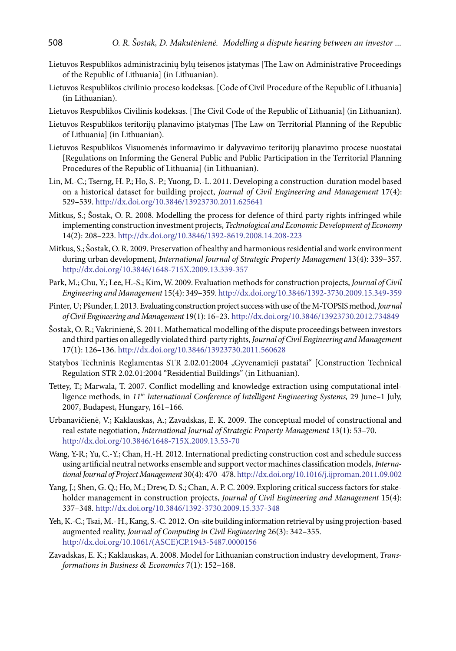- Lietuvos Respublikos administracinių bylų teisenos įstatymas [The Law on Administrative Proceedings of the Republic of Lithuania] (in Lithuanian).
- Lietuvos Respublikos civilinio proceso kodeksas. [Code of Civil Procedure of the Republic of Lithuania] (in Lithuanian).
- Lietuvos Respublikos Civilinis kodeksas. [The Civil Code of the Republic of Lithuania] (in Lithuanian).
- Lietuvos Respublikos teritorijų planavimo įstatymas [The Law on Territorial Planning of the Republic of Lithuania] (in Lithuanian).
- Lietuvos Respublikos Visuomenės informavimo ir dalyvavimo teritorijų planavimo procese nuostatai [Regulations on Informing the General Public and Public Participation in the Territorial Planning Procedures of the Republic of Lithuania] (in Lithuanian).
- Lin, M.-C.; Tserng, H. P.; Ho, S.-P.; Yuong, D.-L. 2011. Developing a construction-duration model based on a historical dataset for building project, *Journal of Civil Engineering and Management* 17(4): 529**–**539. <http://dx.doi.org/10.3846/13923730.2011.625641>
- Mitkus, S.; Šostak, O. R. 2008. Modelling the process for defence of third party rights infringed while implementing construction investment projects, *Technological and Economic Development of Economy* 14(2): 208–223.<http://dx.doi.org/10.3846/1392-8619.2008.14.208-223>
- Mitkus, S.; Šostak, O. R. 2009. Preservation of healthy and harmonious residential and work environment during urban development, *International Journal of Strategic Property Management* 13(4): 339–357. <http://dx.doi.org/10.3846/1648-715X.2009.13.339-357>
- Park, M.; Chu, Y.; Lee, H.-S.; Kim, W. 2009. Evaluation methods for construction projects, *Journal of Civil Engineering and Management* 15(4): 349–359.<http://dx.doi.org/10.3846/1392-3730.2009.15.349-359>
- Pinter, U; Pšunder, I. 2013. Evaluating construction project success with use of the M-TOPSIS method, *Journal of Civil Engineering and Management* 19(1): 16**–**23. <http://dx.doi.org/10.3846/13923730.2012.734849>
- Šostak, O. R.; Vakrinienė, S. 2011. Mathematical modelling of the dispute proceedings between investors and third parties on allegedly violated third-party rights, *Journal of Civil Engineering and Management*  17(1): 126–136.<http://dx.doi.org/10.3846/13923730.2011.560628>
- Statybos Techninis Reglamentas STR 2.02.01:2004 "Gyvenamieji pastatai" [Construction Technical Regulation STR 2.02.01:2004 "Residential Buildings" (in Lithuanian).
- Tettey, T.; Marwala, T. 2007. Conflict modelling and knowledge extraction using computational intelligence methods, in 11<sup>th</sup> International Conference of Intelligent Engineering Systems, 29 June–1 July, 2007, Budapest, Hungary, 161–166.
- Urbanavičienė, V.; Kaklauskas, A.; Zavadskas, E. K. 2009. The conceptual model of constructional and real estate negotiation, *International Journal of Strategic Property Management* 13(1): 53–70. <http://dx.doi.org/10.3846/1648-715X.2009.13.53-70>
- Wang, Y-R.; Yu, C.-Y.; Chan, H.-H. 2012. International predicting construction cost and schedule success using artificial neutral networks ensemble and support vector machines classification models, *International Journal of Project Management* 30(4): 470–478.<http://dx.doi.org/10.1016/j.ijproman.2011.09.002>
- Yang, J.; Shen, G. Q.; Ho, M.; Drew, D. S.; Chan, A. P. C. 2009. Exploring critical success factors for stakeholder management in construction projects, *Journal of Civil Engineering and Management* 15(4): 337–348. <http://dx.doi.org/10.3846/1392-3730.2009.15.337-348>
- Yeh, K.-C.; Tsai, M.- H., Kang, S.-C. 2012. On-site building information retrieval by using projection-based augmented reality, *Journal of Computing in Civil Engineering* 26(3): 342–355. [http://dx.doi.org/10.1061/\(ASCE\)CP.1943-5487.0000156](http://dx.doi.org/10.1061/%28ASCE%29CP.1943-5487.0000156)
- Zavadskas, E. K.; Kaklauskas, A. 2008. Model for Lithuanian construction industry development, *Transformations in Business & Economics* 7(1): 152–168.